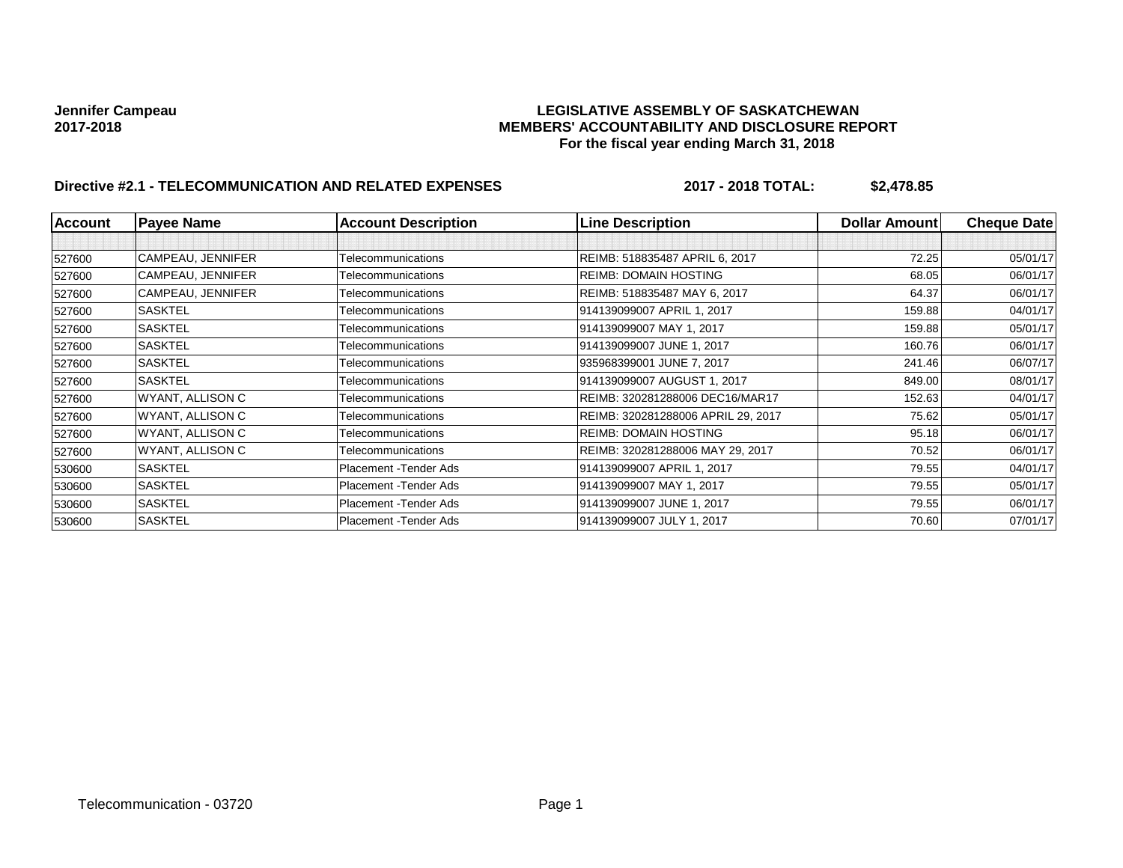## **Jennifer Campeau LEGISLATIVE ASSEMBLY OF SASKATCHEWAN 2017-2018 MEMBERS' ACCOUNTABILITY AND DISCLOSURE REPORT For the fiscal year ending March 31, 2018**

# **Directive #2.1 - TELECOMMUNICATION AND RELATED EXPENSES 2017 - 2018 TOTAL: \$2,478.85**

| <b>Account</b> | <b>Payee Name</b> | <b>Account Description</b> | <b>Line Description</b>            | Dollar Amount | <b>Cheque Date</b> |
|----------------|-------------------|----------------------------|------------------------------------|---------------|--------------------|
|                |                   |                            |                                    |               |                    |
| 527600         | CAMPEAU, JENNIFER | Telecommunications         | REIMB: 518835487 APRIL 6, 2017     | 72.25         | 05/01/17           |
| 527600         | CAMPEAU, JENNIFER | Telecommunications         | REIMB: DOMAIN HOSTING              | 68.05         | 06/01/17           |
| 527600         | CAMPEAU, JENNIFER | Telecommunications         | REIMB: 518835487 MAY 6, 2017       | 64.37         | 06/01/17           |
| 527600         | <b>SASKTEL</b>    | Telecommunications         | 914139099007 APRIL 1, 2017         | 159.88        | 04/01/17           |
| 527600         | <b>SASKTEL</b>    | Telecommunications         | 914139099007 MAY 1, 2017           | 159.88        | 05/01/17           |
| 527600         | <b>SASKTEL</b>    | Telecommunications         | 914139099007 JUNE 1, 2017          | 160.76        | 06/01/17           |
| 527600         | <b>SASKTEL</b>    | Telecommunications         | 935968399001 JUNE 7, 2017          | 241.46        | 06/07/17           |
| 527600         | <b>SASKTEL</b>    | Telecommunications         | 914139099007 AUGUST 1, 2017        | 849.00        | 08/01/17           |
| 527600         | WYANT, ALLISON C  | Telecommunications         | REIMB: 320281288006 DEC16/MAR17    | 152.63        | 04/01/17           |
| 527600         | WYANT, ALLISON C  | Telecommunications         | REIMB: 320281288006 APRIL 29, 2017 | 75.62         | 05/01/17           |
| 527600         | WYANT, ALLISON C  | Telecommunications         | <b>REIMB: DOMAIN HOSTING</b>       | 95.18         | 06/01/17           |
| 527600         | WYANT, ALLISON C  | Telecommunications         | REIMB: 320281288006 MAY 29, 2017   | 70.52         | 06/01/17           |
| 530600         | <b>SASKTEL</b>    | Placement - Tender Ads     | 914139099007 APRIL 1, 2017         | 79.55         | 04/01/17           |
| 530600         | <b>SASKTEL</b>    | Placement - Tender Ads     | 914139099007 MAY 1, 2017           | 79.55         | 05/01/17           |
| 530600         | <b>SASKTEL</b>    | Placement - Tender Ads     | 914139099007 JUNE 1, 2017          | 79.55         | 06/01/17           |
| 530600         | <b>SASKTEL</b>    | Placement - Tender Ads     | 914139099007 JULY 1, 2017          | 70.60         | 07/01/17           |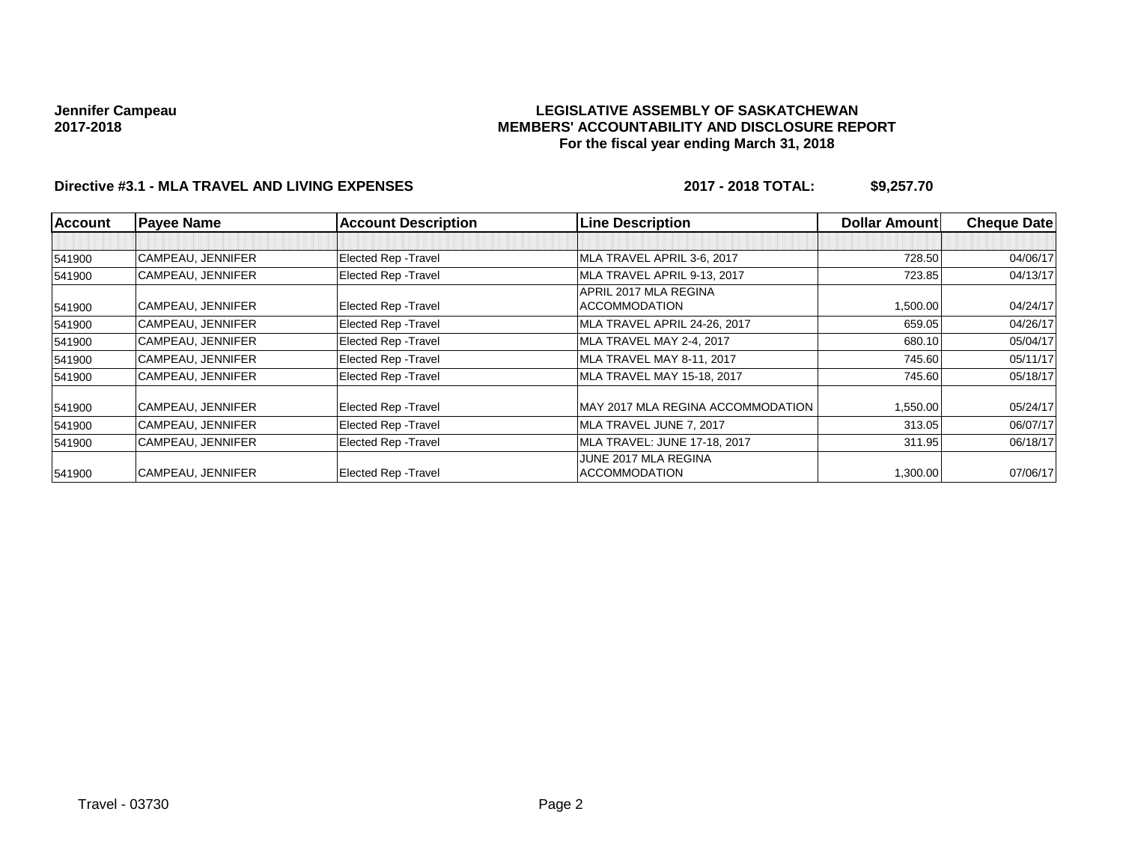## **LEGISLATIVE ASSEMBLY OF SASKATCHEWAN MEMBERS' ACCOUNTABILITY AND DISCLOSURE REPORT For the fiscal year ending March 31, 2018**

# **Directive #3.1 - MLA TRAVEL AND LIVING EXPENSES 2017 - 2018 TOTAL: \$9,257.70**

| <b>Account</b> | <b>Payee Name</b> | <b>Account Description</b>  | <b>Line Description</b>           | <b>Dollar Amount</b> | <b>Cheque Date</b> |
|----------------|-------------------|-----------------------------|-----------------------------------|----------------------|--------------------|
|                |                   |                             |                                   |                      |                    |
| 541900         | CAMPEAU, JENNIFER | <b>Elected Rep - Travel</b> | MLA TRAVEL APRIL 3-6, 2017        | 728.50               | 04/06/17           |
| 541900         | CAMPEAU, JENNIFER | Elected Rep - Travel        | MLA TRAVEL APRIL 9-13, 2017       | 723.85               | 04/13/17           |
|                |                   |                             | APRIL 2017 MLA REGINA             |                      |                    |
| 541900         | CAMPEAU, JENNIFER | Elected Rep - Travel        | <b>ACCOMMODATION</b>              | 1,500.00             | 04/24/17           |
| 541900         | CAMPEAU, JENNIFER | <b>Elected Rep - Travel</b> | MLA TRAVEL APRIL 24-26, 2017      | 659.05               | 04/26/17           |
| 541900         | CAMPEAU, JENNIFER | <b>Elected Rep - Travel</b> | MLA TRAVEL MAY 2-4, 2017          | 680.10               | 05/04/17           |
| 541900         | CAMPEAU. JENNIFER | <b>Elected Rep - Travel</b> | MLA TRAVEL MAY 8-11, 2017         | 745.60               | 05/11/17           |
| 541900         | CAMPEAU, JENNIFER | <b>Elected Rep - Travel</b> | MLA TRAVEL MAY 15-18, 2017        | 745.60               | 05/18/17           |
| 541900         | CAMPEAU, JENNIFER | Elected Rep - Travel        | MAY 2017 MLA REGINA ACCOMMODATION | 1,550.00             | 05/24/17           |
| 541900         | CAMPEAU, JENNIFER | Elected Rep - Travel        | MLA TRAVEL JUNE 7, 2017           | 313.05               | 06/07/17           |
| 541900         | CAMPEAU, JENNIFER | Elected Rep - Travel        | MLA TRAVEL: JUNE 17-18, 2017      | 311.95               | 06/18/17           |
|                |                   |                             | JUNE 2017 MLA REGINA              |                      |                    |
| 541900         | CAMPEAU, JENNIFER | <b>Elected Rep - Travel</b> | <b>ACCOMMODATION</b>              | 1,300.00             | 07/06/17           |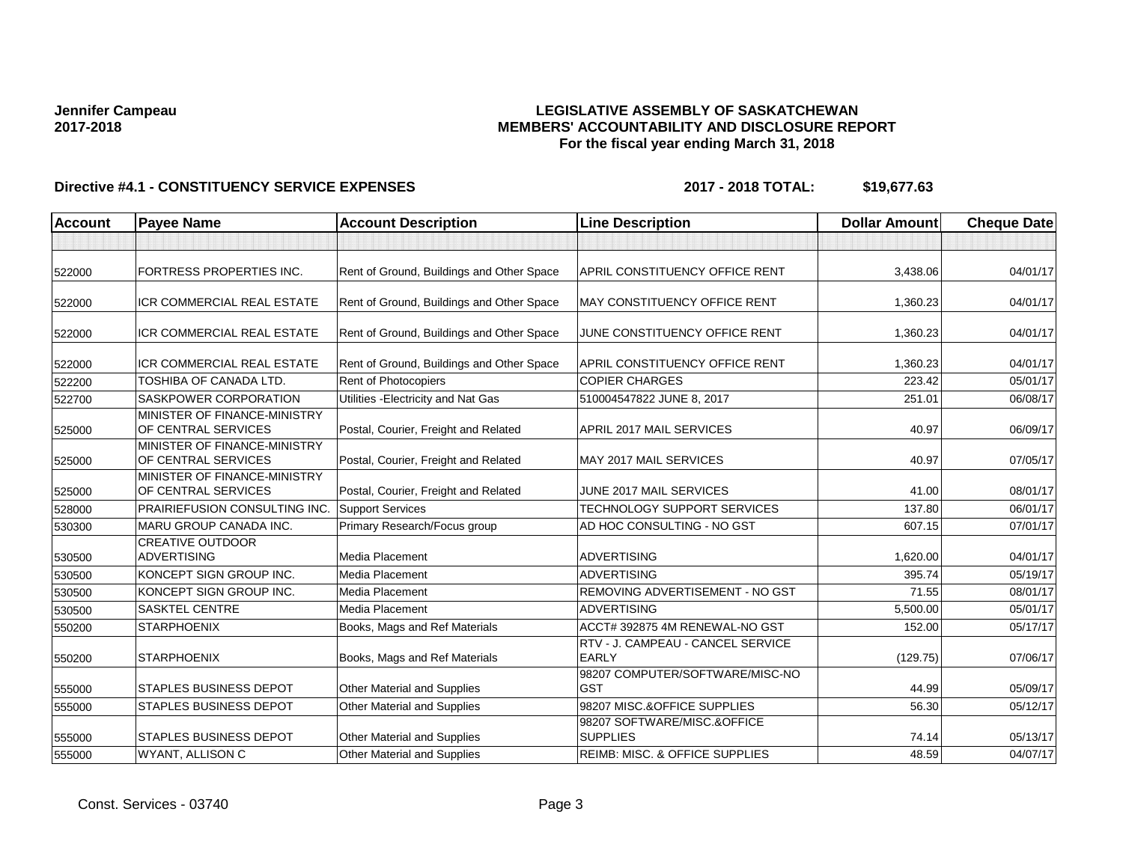## **LEGISLATIVE ASSEMBLY OF SASKATCHEWAN MEMBERS' ACCOUNTABILITY AND DISCLOSURE REPORT For the fiscal year ending March 31, 2018**

# **Directive #4.1 - CONSTITUENCY SERVICE EXPENSES 2017 - 2018 TOTAL: \$19,677.63**

| <b>Account</b> | <b>Payee Name</b>                                   | <b>Account Description</b>                | <b>Line Description</b>                           | <b>Dollar Amount</b> | <b>Cheque Date</b> |
|----------------|-----------------------------------------------------|-------------------------------------------|---------------------------------------------------|----------------------|--------------------|
|                |                                                     |                                           |                                                   |                      |                    |
| 522000         | FORTRESS PROPERTIES INC.                            | Rent of Ground, Buildings and Other Space | APRIL CONSTITUENCY OFFICE RENT                    | 3,438.06             | 04/01/17           |
| 522000         | ICR COMMERCIAL REAL ESTATE                          | Rent of Ground, Buildings and Other Space | MAY CONSTITUENCY OFFICE RENT                      | 1,360.23             | 04/01/17           |
| 522000         | <b>ICR COMMERCIAL REAL ESTATE</b>                   | Rent of Ground, Buildings and Other Space | JUNE CONSTITUENCY OFFICE RENT                     | 1,360.23             | 04/01/17           |
| 522000         | ICR COMMERCIAL REAL ESTATE                          | Rent of Ground, Buildings and Other Space | APRIL CONSTITUENCY OFFICE RENT                    | 1,360.23             | 04/01/17           |
| 522200         | TOSHIBA OF CANADA LTD.                              | Rent of Photocopiers                      | <b>COPIER CHARGES</b>                             | 223.42               | 05/01/17           |
| 522700         | <b>SASKPOWER CORPORATION</b>                        | Utilities - Electricity and Nat Gas       | 510004547822 JUNE 8, 2017                         | 251.01               | 06/08/17           |
| 525000         | MINISTER OF FINANCE-MINISTRY<br>OF CENTRAL SERVICES | Postal, Courier, Freight and Related      | APRIL 2017 MAIL SERVICES                          | 40.97                | 06/09/17           |
| 525000         | MINISTER OF FINANCE-MINISTRY<br>OF CENTRAL SERVICES | Postal, Courier, Freight and Related      | MAY 2017 MAIL SERVICES                            | 40.97                | 07/05/17           |
| 525000         | MINISTER OF FINANCE-MINISTRY<br>OF CENTRAL SERVICES | Postal, Courier, Freight and Related      | JUNE 2017 MAIL SERVICES                           | 41.00                | 08/01/17           |
| 528000         | <b>PRAIRIEFUSION CONSULTING INC.</b>                | <b>Support Services</b>                   | TECHNOLOGY SUPPORT SERVICES                       | 137.80               | 06/01/17           |
| 530300         | MARU GROUP CANADA INC.                              | Primary Research/Focus group              | AD HOC CONSULTING - NO GST                        | 607.15               | 07/01/17           |
| 530500         | <b>CREATIVE OUTDOOR</b><br><b>ADVERTISING</b>       | <b>Media Placement</b>                    | <b>ADVERTISING</b>                                | 1,620.00             | 04/01/17           |
| 530500         | KONCEPT SIGN GROUP INC.                             | Media Placement                           | <b>ADVERTISING</b>                                | 395.74               | 05/19/17           |
| 530500         | KONCEPT SIGN GROUP INC.                             | Media Placement                           | REMOVING ADVERTISEMENT - NO GST                   | 71.55                | 08/01/17           |
| 530500         | <b>SASKTEL CENTRE</b>                               | Media Placement                           | <b>ADVERTISING</b>                                | 5,500.00             | 05/01/17           |
| 550200         | <b>STARPHOENIX</b>                                  | Books, Mags and Ref Materials             | ACCT# 392875 4M RENEWAL-NO GST                    | 152.00               | 05/17/17           |
| 550200         | <b>STARPHOENIX</b>                                  | Books, Mags and Ref Materials             | RTV - J. CAMPEAU - CANCEL SERVICE<br><b>EARLY</b> | (129.75)             | 07/06/17           |
| 555000         | <b>STAPLES BUSINESS DEPOT</b>                       | Other Material and Supplies               | 98207 COMPUTER/SOFTWARE/MISC-NO<br><b>GST</b>     | 44.99                | 05/09/17           |
| 555000         | <b>STAPLES BUSINESS DEPOT</b>                       | <b>Other Material and Supplies</b>        | 98207 MISC.&OFFICE SUPPLIES                       | 56.30                | 05/12/17           |
| 555000         | <b>STAPLES BUSINESS DEPOT</b>                       | Other Material and Supplies               | 98207 SOFTWARE/MISC.&OFFICE<br><b>SUPPLIES</b>    | 74.14                | 05/13/17           |
| 555000         | WYANT, ALLISON C                                    | Other Material and Supplies               | <b>REIMB: MISC. &amp; OFFICE SUPPLIES</b>         | 48.59                | 04/07/17           |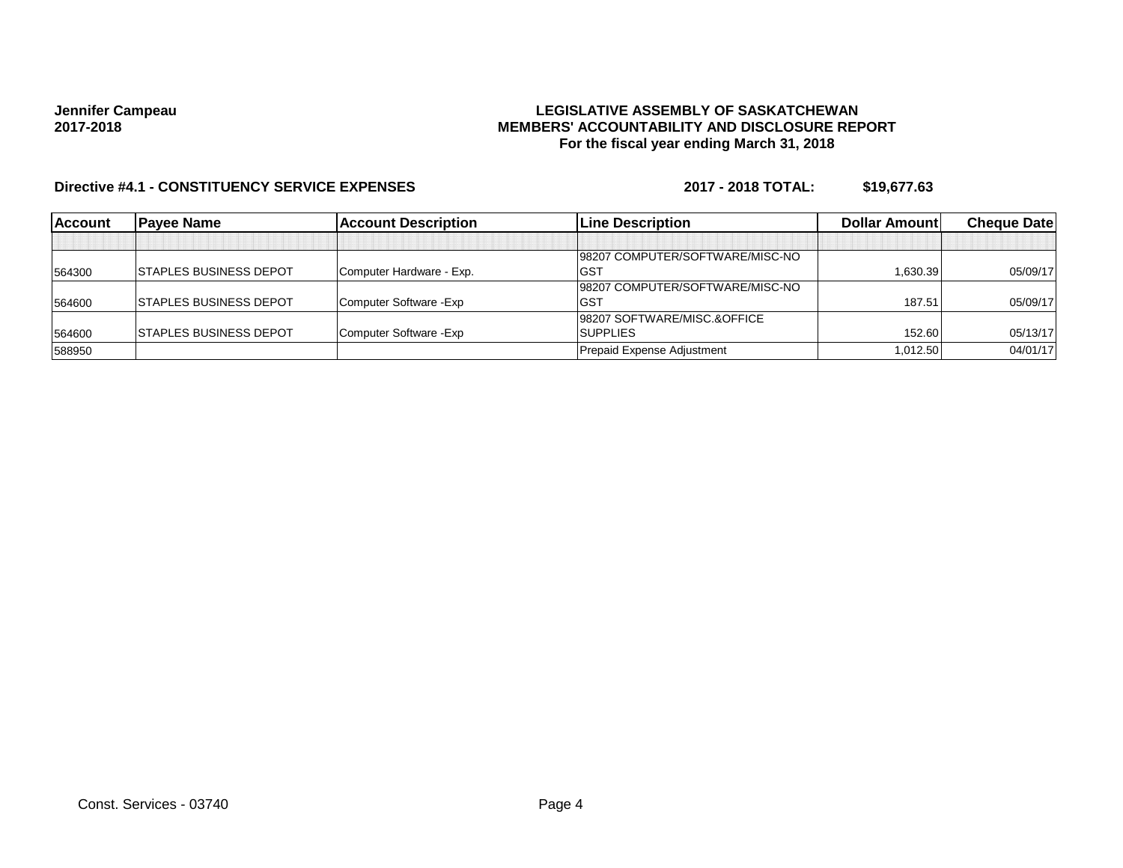## **LEGISLATIVE ASSEMBLY OF SASKATCHEWAN MEMBERS' ACCOUNTABILITY AND DISCLOSURE REPORT For the fiscal year ending March 31, 2018**

# **Directive #4.1 - CONSTITUENCY SERVICE EXPENSES 2017 - 2018 TOTAL: \$19,677.63**

| <b>Account</b> | <b>Pavee Name</b>              | <b>Account Description</b> | <b>ILine Description</b>        | Dollar Amount | <b>Cheque Datel</b> |
|----------------|--------------------------------|----------------------------|---------------------------------|---------------|---------------------|
|                |                                |                            |                                 |               |                     |
|                |                                |                            | 98207 COMPUTER/SOFTWARE/MISC-NO |               |                     |
| 564300         | <b>ISTAPLES BUSINESS DEPOT</b> | Computer Hardware - Exp.   | <b>GST</b>                      | 1.630.39      | 05/09/17            |
|                |                                |                            | 98207 COMPUTER/SOFTWARE/MISC-NO |               |                     |
| 564600         | <b>ISTAPLES BUSINESS DEPOT</b> | Computer Software - Exp    | <b>GST</b>                      | 187.51        | 05/09/17            |
|                |                                |                            | 98207 SOFTWARE/MISC.&OFFICE     |               |                     |
| 564600         | <b>ISTAPLES BUSINESS DEPOT</b> | Computer Software - Exp    | <b>SUPPLIES</b>                 | 152.60        | 05/13/17            |
| 588950         |                                |                            | Prepaid Expense Adjustment      | 1.012.50      | 04/01/17            |